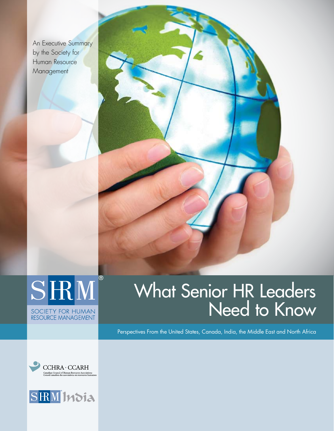An Executive Summary by the Society for Human Resource **Management** 





# What Senior HR Leaders Need to Know

Perspectives From the United States, Canada, India, the Middle East and North Africa



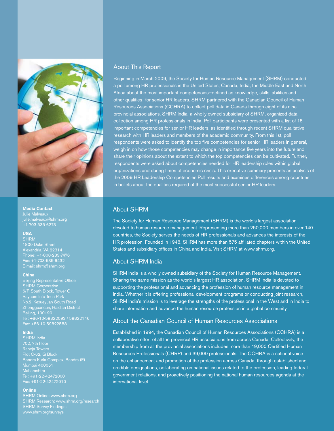

**Media Contact** Julie Malveaux

### **USA**

**SHRM** Alexandria, VA 22314 Phone: +1-800-283-7476 Fax: +1-703-535-6432 E-mail: shrm@shrm.org

#### **China**

Beijing Representative Office SHRM Corporation No.2, Kexueyuan South Road Zhongguancun, Haidian District Beijing, 100190 Tel: +86-10-59822093 / 59822146 Fax: +86-10-59822588

#### **India**

SHRM India 702, 7th Floor Raheja Towers Plot C-62, G Block Maharashtra Tel: +91-22-42472000 Fax: +91-22-42472010

#### **Online**

SHRM Research: www.shrm.org/research SHRM Survey Findings: www.shrm.org/surveys

#### About This Report

Beginning in March 2009, the Society for Human Resource Management (SHRM) conducted a poll among HR professionals in the United States, Canada, India, the Middle East and North Africa about the most important competencies—defined as knowledge, skills, abilities and other qualities—for senior HR leaders. SHRM partnered with the Canadian Council of Human Resources Associations (CCHRA) to collect poll data in Canada through eight of its nine provincial associations. SHRM India, a wholly owned subsidiary of SHRM, organized data collection among HR professionals in India. Poll participants were presented with a list of 18 important competencies for senior HR leaders, as identified through recent SHRM qualitative research with HR leaders and members of the academic community. From this list, poll respondents were asked to identify the top five competencies for senior HR leaders in general, weigh in on how those competencies may change in importance five years into the future and share their opinions about the extent to which the top competencies can be cultivated. Further, respondents were asked about competencies needed for HR leadership roles within global organizations and during times of economic crisis. This executive summary presents an analysis of the 2009 HR Leadership Competencies Poll results and examines differences among countries in beliefs about the qualities required of the most successful senior HR leaders.

#### About SHRM

The Society for Human Resource Management (SHRM) is the world's largest association devoted to human resource management. Representing more than 250,000 members in over 140 countries, the Society serves the needs of HR professionals and advances the interests of the HR profession. Founded in 1948, SHRM has more than 575 affiliated chapters within the United States and subsidiary offices in China and India. Visit SHRM at www.shrm.org.

#### About SHRM India

SHRM India is a wholly owned subsidiary of the Society for Human Resource Management. Sharing the same mission as the world's largest HR association, SHRM India is devoted to supporting the professional and advancing the profession of human resource management in India. Whether it is offering professional development programs or conducting joint research, SHRM India's mission is to leverage the strengths of the professional in the West and in India to share information and advance the human resource profession in a global community.

#### About the Canadian Council of Human Resources Associations

Established in 1994, the Canadian Council of Human Resources Associations (CCHRA) is a collaborative effort of all the provincial HR associations from across Canada. Collectively, the membership from all the provincial associations includes more than 19,000 Certified Human Resources Professionals (CHRP) and 39,000 professionals. The CCHRA is a national voice on the enhancement and promotion of the profession across Canada, through established and credible designations, collaborating on national issues related to the profession, leading federal government relations, and proactively positioning the national human resources agenda at the international level.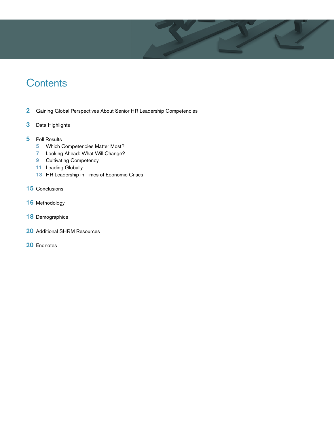

# **Contents**

- 2 Gaining Global Perspectives About Senior HR Leadership Competencies
- 3 Data Highlights
- 5 Poll Results
	- 5 Which Competencies Matter Most?
	- 7 Looking Ahead: What Will Change?
	- 9 Cultivating Competency
	- 11 Leading Globally
	- 13 HR Leadership in Times of Economic Crises
- 15 Conclusions
- 16 Methodology
- 18 Demographics
- 20 Additional SHRM Resources
- 20 Endnotes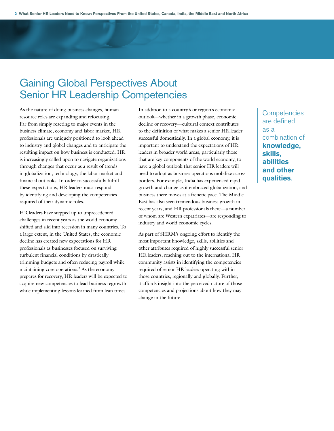# Gaining Global Perspectives About Senior HR Leadership Competencies

As the nature of doing business changes, human resource roles are expanding and refocusing. Far from simply reacting to major events in the business climate, economy and labor market, HR professionals are uniquely positioned to look ahead to industry and global changes and to anticipate the resulting impact on how business is conducted. HR is increasingly called upon to navigate organizations through changes that occur as a result of trends in globalization, technology, the labor market and financial outlooks. In order to successfully fulfill these expectations, HR leaders must respond by identifying and developing the competencies required of their dynamic roles.

HR leaders have stepped up to unprecedented challenges in recent years as the world economy shifted and slid into recession in many countries. To a large extent, in the United States, the economic decline has created new expectations for HR professionals as businesses focused on surviving turbulent financial conditions by drastically trimming budgets and often reducing payroll while maintaining core operations.2 As the economy prepares for recovery, HR leaders will be expected to acquire new competencies to lead business regrowth while implementing lessons learned from lean times.

In addition to a country's or region's economic outlook—whether in a growth phase, economic decline or recovery—cultural context contributes to the definition of what makes a senior HR leader successful domestically. In a global economy, it is important to understand the expectations of HR leaders in broader world areas, particularly those that are key components of the world economy, to have a global outlook that senior HR leaders will need to adopt as business operations mobilize across borders. For example, India has experienced rapid growth and change as it embraced globalization, and business there moves at a frenetic pace. The Middle East has also seen tremendous business growth in recent years, and HR professionals there—a number of whom are Western expatriates—are responding to industry and world economic cycles.

As part of SHRM's ongoing effort to identify the most important knowledge, skills, abilities and other attributes required of highly successful senior HR leaders, reaching out to the international HR community assists in identifying the competencies required of senior HR leaders operating within those countries, regionally and globally. Further, it affords insight into the perceived nature of those competencies and projections about how they may change in the future.

**Competencies** are defined as a combination of **knowledge, skills, abilities and other qualities**.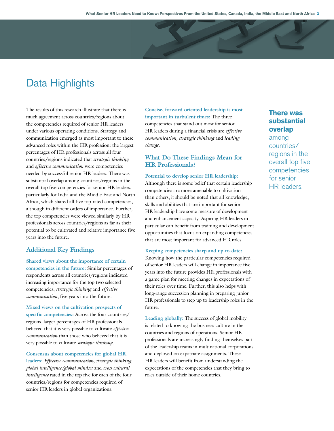# Data Highlights

The results of this research illustrate that there is much agreement across countries/regions about the competencies required of senior HR leaders under various operating conditions. Strategy and communication emerged as most important to these advanced roles within the HR profession: the largest percentages of HR professionals across all four countries/regions indicated that *strategic thinking* and *effective communication* were competencies needed by successful senior HR leaders. There was substantial overlap among countries/regions in the overall top five competencies for senior HR leaders, particularly for India and the Middle East and North Africa, which shared all five top-rated competencies, although in different orders of importance. Further, the top competencies were viewed similarly by HR professionals across countries/regions as far as their potential to be cultivated and relative importance five years into the future.

### **Additional Key Findings**

**Shared views about the importance of certain competencies in the future:** Similar percentages of respondents across all countries/regions indicated increasing importance for the top two selected competencies, *strategic thinking* and *effective communication*, five years into the future.

**Mixed views on the cultivation prospects of specific competencies:** Across the four countries/ regions, larger percentages of HR professionals believed that it is very possible to cultivate *effective communication* than those who believed that it is very possible to cultivate *strategic thinking*.

**Consensus about competencies for global HR leaders:** *Effective communication, strategic thinking, global intelligence/global mindset* and *cross-cultural intelligence* rated in the top five for each of the four countries/regions for competencies required of senior HR leaders in global organizations.

**Concise, forward-oriented leadership is most important in turbulent times:** The three competencies that stand out most for senior HR leaders during a financial crisis are *effective communication, strategic thinking* and *leading change*.

### **What Do These Findings Mean for HR Professionals?**

**Potential to develop senior HR leadership:** Although there is some belief that certain leadership competencies are more amenable to cultivation than others, it should be noted that all knowledge, skills and abilities that are important for senior HR leadership have some measure of development and enhancement capacity. Aspiring HR leaders in particular can benefit from training and development opportunities that focus on expanding competencies that are most important for advanced HR roles.

#### **Keeping competencies sharp and up-to-date:**

Knowing how the particular competencies required of senior HR leaders will change in importance five years into the future provides HR professionals with a game plan for meeting changes in expectations of their roles over time. Further, this also helps with long-range succession planning in preparing junior HR professionals to step up to leadership roles in the future.

**Leading globally:** The success of global mobility is related to knowing the business culture in the countries and regions of operations. Senior HR professionals are increasingly finding themselves part of the leadership teams in multinational corporations and deployed on expatriate assignments. These HR leaders will benefit from understanding the expectations of the competencies that they bring to roles outside of their home countries.

# **There was substantial overlap**

among countries/ regions in the overall top five competencies for senior HR leaders.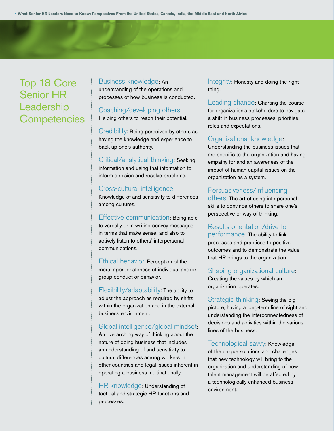# Top 18 Core Senior HR **Leadership Competencies**

#### Business knowledge: An

understanding of the operations and processes of how business is conducted.

# Coaching/developing others:

Helping others to reach their potential.

Credibility: Being perceived by others as having the knowledge and experience to back up one's authority.

Critical/analytical thinking: Seeking information and using that information to inform decision and resolve problems.

### Cross-cultural intelligence:

Knowledge of and sensitivity to differences among cultures.

Effective communication: Being able to verbally or in writing convey messages in terms that make sense, and also to actively listen to others' interpersonal communications.

Ethical behavior: Perception of the moral appropriateness of individual and/or group conduct or behavior.

Flexibility/adaptability: The ability to adjust the approach as required by shifts within the organization and in the external business environment.

### Global intelligence/global mindset:

An overarching way of thinking about the nature of doing business that includes an understanding of and sensitivity to cultural differences among workers in other countries and legal issues inherent in operating a business multinationally.

HR knowledge: Understanding of tactical and strategic HR functions and processes.

Integrity: Honesty and doing the right thing.

Leading change: Charting the course for organization's stakeholders to navigate a shift in business processes, priorities, roles and expectations.

### Organizational knowledge:

Understanding the business issues that are specific to the organization and having empathy for and an awareness of the impact of human capital issues on the organization as a system.

### Persuasiveness/influencing

others: The art of using interpersonal skills to convince others to share one's perspective or way of thinking.

Results orientation/drive for performance: The ability to link processes and practices to positive outcomes and to demonstrate the value that HR brings to the organization.

### Shaping organizational culture:

Creating the values by which an organization operates.

Strategic thinking: Seeing the big picture, having a long-term line of sight and understanding the interconnectedness of decisions and activities within the various lines of the business.

Technological savvy: Knowledge of the unique solutions and challenges that new technology will bring to the organization and understanding of how talent management will be affected by a technologically enhanced business environment.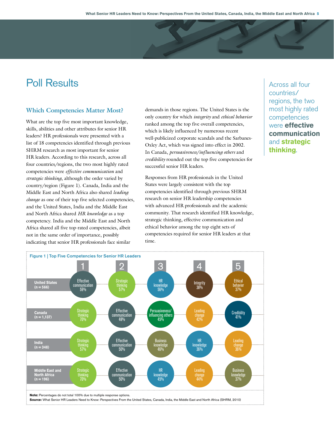# Poll Results

## **Which Competencies Matter Most?**

What are the top five most important knowledge, skills, abilities and other attributes for senior HR leaders? HR professionals were presented with a list of 18 competencies identified through previous SHRM research as most important for senior HR leaders. According to this research, across all four countries/regions, the two most highly rated competencies were *effective communication* and *strategic thinking*, although the order varied by country/region (Figure 1). Canada, India and the Middle East and North Africa also shared *leading change* as one of their top five selected competencies, and the United States, India and the Middle East and North Africa shared *HR knowledge* as a top competency. India and the Middle East and North Africa shared all five top-rated competencies, albeit not in the same order of importance, possibly indicating that senior HR professionals face similar

demands in those regions. The United States is the only country for which *integrity* and *ethical behavior* ranked among the top five overall competencies, which is likely influenced by numerous recent well-publicized corporate scandals and the Sarbanes-Oxley Act, which was signed into effect in 2002. In Canada, *persuasiveness*/*influencing others* and *credibility* rounded out the top five competencies for successful senior HR leaders.

Responses from HR professionals in the United States were largely consistent with the top competencies identified through previous SHRM research on senior HR leadership competencies with advanced HR professionals and the academic community. That research identified HR knowledge, strategic thinking, effective communication and ethical behavior among the top eight sets of competencies required for senior HR leaders at that time.

Across all four countries/ regions, the two most highly rated competencies were **effective communication** and **strategic thinking**.

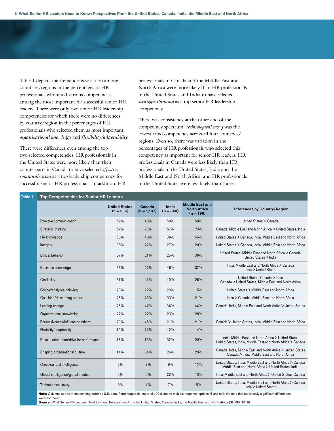Table 1 depicts the tremendous variation among countries/regions in the percentages of HR professionals who rated various competencies among the most important for successful senior HR leaders. There were only two senior HR leadership competencies for which there were no differences by country/region in the percentages of HR professionals who selected them as most important: *organizational knowledge* and *flexibility/adaptability*.

There were differences even among the top two selected competencies. HR professionals in the United States were more likely than their counterparts in Canada to have selected *effective communication* as a top leadership competency for successful senior HR professionals. In addition, HR professionals in Canada and the Middle East and North Africa were more likely than HR professionals in the United States and India to have selected *strategic thinking* as a top senior HR leadership competency.

There was consistency at the other end of the competency spectrum: *technological savvy* was the lowest rated competency across all four countries/ regions. Even so, there was variation in the percentages of HR professionals who selected this competency as important for senior HR leaders. HR professionals in Canada were less likely than HR professionals in the United States, India and the Middle East and North Africa, and HR professionals in the United States were less likely than those

| Table 1 | <b>Top Competencies for Senior HR Leaders</b> |                                     |                          |                      |                                                              |                                                                                                                    |
|---------|-----------------------------------------------|-------------------------------------|--------------------------|----------------------|--------------------------------------------------------------|--------------------------------------------------------------------------------------------------------------------|
|         |                                               | <b>United States</b><br>$(n = 566)$ | Canada<br>$(n = 1, 137)$ | India<br>$(n = 348)$ | <b>Middle East and</b><br><b>North Africa</b><br>$(n = 196)$ | Differences by Country/Region                                                                                      |
|         | Effective communication                       | 59%                                 | 48%                      | 50%                  | 50%                                                          | United States > Canada                                                                                             |
|         | Strategic thinking                            | 57%                                 | 70%                      | 57%                  | 70%                                                          | Canada, Middle East and North Africa > United States, India                                                        |
|         | <b>HR</b> knowledge                           | 56%                                 | 40%                      | 36%                  | 45%                                                          | United States > Canada, India, Middle East and North Africa                                                        |
|         | Integrity                                     | 38%                                 | 27%                      | 27%                  | 20%                                                          | United States > Canada, India, Middle East and North Africa                                                        |
|         | Ethical behavior                              | 37%                                 | 21%                      | 25%                  | 30%                                                          | United States, Middle East and North Africa > Canada<br>United States > India                                      |
|         | Business knowledge                            | 33%                                 | 27%                      | 46%                  | 37%                                                          | India, Middle East and North Africa > Canada<br>India > United States                                              |
|         | Credibility                                   | 31%                                 | 41%                      | 19%                  | 26%                                                          | United States, Canada > India<br>Canada > United States, Middle East and North Africa                              |
|         | Critical/analytical thinking                  | 28%                                 | 22%                      | 20%                  | 15%                                                          | United States > Middle East and North Africa                                                                       |
|         | Coaching/developing others                    | 26%                                 | 23%                      | 33%                  | 21%                                                          | India > Canada, Middle East and North Africa                                                                       |
|         | Leading change                                | 26%                                 | 42%                      | 36%                  | 44%                                                          | Canada, India, Middle East and North Africa > United States                                                        |
|         | Organizational knowledge                      | 22%                                 | 22%                      | 23%                  | 28%                                                          |                                                                                                                    |
|         | Persuasiveness/influencing others             | 20%                                 | 45%                      | 21%                  | 21%                                                          | Canada > United States, India, Middle East and North Africa                                                        |
|         | Flexibility/adaptability                      | 19%                                 | 17%                      | 12%                  | 14%                                                          |                                                                                                                    |
|         | Results orientation/drive for performance     | 18%                                 | 13%                      | 32%                  | 29%                                                          | India, Middle East and North Africa > United States<br>United States, India, Middle East and North Africa > Canada |
|         | Shaping organizational culture                | 14%                                 | 34%                      | 24%                  | 23%                                                          | Canada, India, Middle East and North Africa > United States<br>Canada > India, Middle East and North Africa        |
|         | Cross-cultural intelligence                   | 6%                                  | 3%                       | 9%                   | 17%                                                          | United States, India, Middle East and North Africa > Canada<br>Middle East and North Africa > United States, India |
|         | Global intelligence/global mindset            | 5%                                  | 5%                       | 22%                  | 13%                                                          | India, Middle East and North Africa > United States, Canada                                                        |
|         | Technological savvy                           | 3%                                  | 1%                       | 7%                   | 5%                                                           | United States, India, Middle East and North Africa > Canada<br>India > United States                               |

**Note:** Columns sorted in descending order by U.S. data. Percentages do not total 100% due to multiple response options. Blank cells indicate that statistically significant differences were not found.

**Source:** What Senior HR Leaders Need to Know: Perspectives From the United States, Canada, India, the Middle East and North Africa (SHRM, 2010)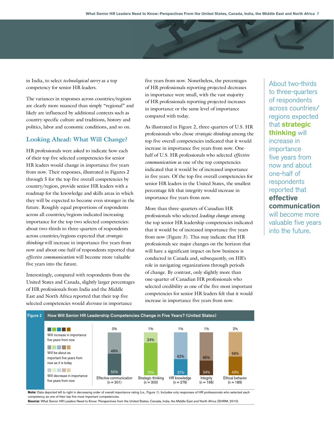in India, to select *technological savvy* as a top competency for senior HR leaders.

The variances in responses across countries/regions are clearly more nuanced than simply "regional" and likely are influenced by additional contexts such as country-specific culture and traditions, history and politics, labor and economic conditions, and so on.

#### **Looking Ahead: What Will Change?**

HR professionals were asked to indicate how each of their top five selected competencies for senior HR leaders would change in importance five years from now. Their responses, illustrated in Figures 2 through 5 for the top five overall competencies by country/region, provide senior HR leaders with a roadmap for the knowledge and skills areas in which they will be expected to become even stronger in the future. Roughly equal proportions of respondents across all countries/regions indicated increasing importance for the top two selected competencies: about two-thirds to three-quarters of respondents across countries/regions expected that *strategic thinking* will increase in importance five years from now and about one-half of respondents reported that *effective communication* will become more valuable five years into the future.

Interestingly, compared with respondents from the United States and Canada, slightly larger percentages of HR professionals from India and the Middle East and North Africa reported that their top five selected competencies would *decrease* in importance

five years from now. Nonetheless, the percentages of HR professionals reporting projected decreases in importance were small, with the vast majority of HR professionals reporting projected increases in importance or the same level of importance compared with today.

As illustrated in Figure 2, three-quarters of U.S. HR professionals who chose *strategic thinking* among the top five overall competencies indicated that it would increase in importance five years from now. Onehalf of U.S. HR professionals who selected *effective communication* as one of the top competencies indicated that it would be of increased importance in five years. Of the top five overall competencies for senior HR leaders in the United States, the smallest percentage felt that integrity would increase in importance five years from now.

More than three-quarters of Canadian HR professionals who selected *leading change* among the top senior HR leadership competencies indicated that it would be of increased importance five years from now (Figure 3). This may indicate that HR professionals see major changes on the horizon that will have a significant impact on how business is conducted in Canada and, subsequently, on HR's role in navigating organizations through periods of change. By contrast, only slightly more than one-quarter of Canadian HR professionals who selected credibility as one of the five most important competencies for senior HR leaders felt that it would increase in importance five years from now.



Note: Data depicted left to right in decreasing order of overall importance rating (i.e., Figure 1). Includes only responses of HR professionals who selected each competency as one of their top five most important competencies.

**Source:** What Senior HR Leaders Need to Know: Perspectives from the United States, Canada, India, the Middle East and North Africa (SHRM, 2010)

About two-thirds to three-quarters of respondents across countries/ regions expected that **strategic thinking** will increase in importance five years from now and about one-half of respondents reported that **effective communication** will become more valuable five years into the future.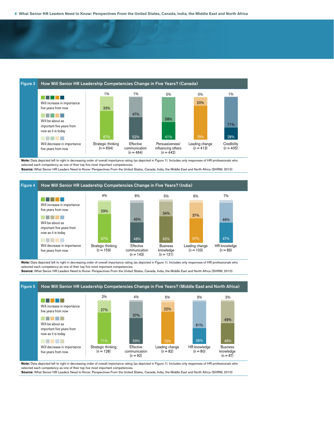

**Note:** Data depicted left to right in decreasing order of overall importance rating (as depicted in Figure 1). Includes only responses of HR professionals who selected each competency as one of their top five most important competencies

**Source:** What Senior HR Leaders Need to Know: Perspectives From the United States, Canada, India, the Middle East and North Africa (SHRM, 2010)



**Note:** Data depicted left to right in decreasing order of overall importance rating (as depicted in Figure 1). Includes only responses of HR professionals who selected each competency as one of their top five most important competencie

**Source:** What Senior HR Leaders Need to Know: Perspectives From the United States, Canada, India, the Middle East and North Africa (SHRM, 2010)



**Note:** Data depicted left to right in decreasing order of overall importance rating (as depicted in Figure 1). Includes only responses of HR professionals who selected each competency as one of their top five most important competencies. **Source:** What Senior HR Leaders Need to Know: Perspectives From the United States, Canada, India, the Middle East and North Africa (SHRM, 2010)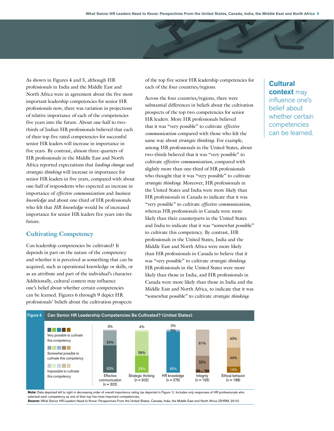As shown in Figures 4 and 5, although HR professionals in India and the Middle East and North Africa were in agreement about the five most important leadership competencies for senior HR professionals now, there was variation in projections of relative importance of each of the competencies five years into the future. About one-half to twothirds of Indian HR professionals believed that each of their top five rated competencies for successful senior HR leaders will increase in importance in five years. By contrast, almost three-quarters of HR professionals in the Middle East and North Africa reported expectations that *leading change* and *strategic thinking* will increase in importance for senior HR leaders in five years, compared with about one-half of respondents who expected an increase in importance of *effective communication* and *business knowledge* and about one-third of HR professionals who felt that *HR knowledge* would be of increased importance for senior HR leaders five years into the future.

#### **Cultivating Competency**

Can leadership competencies be cultivated? It depends in part on the nature of the competency and whether it is perceived as something that can be acquired, such as operational knowledge or skills, or as an attribute and part of the individual's character. Additionally, cultural context may influence one's belief about whether certain competencies can be learned. Figures 6 through 9 depict HR professionals' beliefs about the cultivation prospects

of the top five senior HR leadership competencies for each of the four countries/regions.

Across the four countries/regions, there were substantial differences in beliefs about the cultivation prospects of the top two competencies for senior HR leaders. More HR professionals believed that it was "very possible" to cultivate *effective communication* compared with those who felt the same way about *strategic thinking*. For example, among HR professionals in the United States, about two-thirds believed that it was "very possible" to cultivate *effective communication*, compared with slightly more than one-third of HR professionals who thought that it was "very possible" to cultivate *strategic thinking*. Moreover, HR professionals in the United States and India were more likely than HR professionals in Canada to indicate that it was "very possible" to cultivate *effective communication*, whereas HR professionals in Canada were more likely than their counterparts in the United States and India to indicate that it was "somewhat possible" to cultivate this competency. By contrast, HR professionals in the United States, India and the Middle East and North Africa were more likely than HR professionals in Canada to believe that it was "very possible" to cultivate *strategic thinking*. HR professionals in the United States were more likely than those in India, and HR professionals in Canada were more likely than those in India and the Middle East and North Africa, to indicate that it was "somewhat possible" to cultivate *strategic thinking*.

# **Cultural context** may influence one's belief about whether certain competencies can be learned.



**Note:** Data depicted left to right in decreasing order of overall importance rating (as depicted in Figure 1). Includes only responses of HR professionals who selected each competency as one of their top five most important competencies.

**Source:** What Senior HR Leaders Need to Know: Perspectives From the United States, Canada, India, the Middle East and North Africa (SHRM, 2010)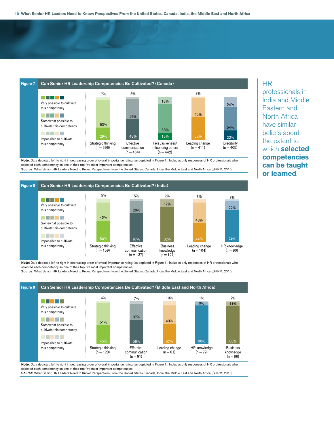

**Note:** Data depicted left to right in decreasing order of overall importance rating (as depicted in Figure 1). Includes only responses of HR professionals who selected each competency as one of their top five most important competencies.

**Source:** What Senior HR Leaders Need to Know: Perspectives From the United States, Canada, India, the Middle East and North Africa (SHRM, 2010)



**Note:** Data depicted left to right in decreasing order of overall importance rating (as depicted in Figure 1). Includes only responses of HR professionals who selected each competency as one of their top five most important competencie

**Source:** What Senior HR Leaders Need to Know: Perspectives From the United States, Canada, India, the Middle East and North Africa (SHRM, 2010)



**Note:** Data depicted left to right in decreasing order of overall importance rating (as depicted in Figure 1). Includes only responses of HR professionals who selected each competency as one of their top five most important competencie

**Source:** What Senior HR Leaders Need to Know: Perspectives From the United States, Canada, India, the Middle East and North Africa (SHRM, 2010)

# HR

professionals in India and Middle Eastern and North Africa have similar beliefs about the extent to which **selected competencies can be taught or learned**.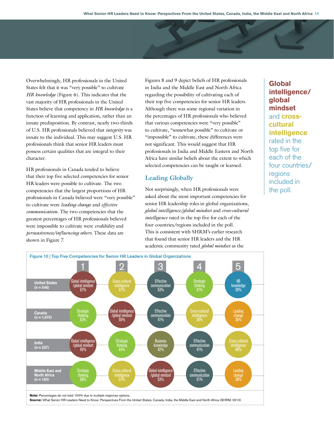Overwhelmingly, HR professionals in the United States felt that it was "very possible" to cultivate *HR knowledge* (Figure 6). This indicates that the vast majority of HR professionals in the United States believe that competency in *HR knowledge* is a function of learning and application, rather than an innate predisposition. By contrast, nearly two-thirds of U.S. HR professionals believed that *integrity* was innate to the individual. This may suggest U.S. HR professionals think that senior HR leaders must possess certain qualities that are integral to their character.

HR professionals in Canada tended to believe that their top five selected competencies for senior HR leaders were possible to cultivate. The two competencies that the largest proportions of HR professionals in Canada believed were "very possible" to cultivate were *leading change* and *effective communication*. The two competencies that the greatest percentages of HR professionals believed were impossible to cultivate were *credibility* and *persuasiveness/influencing others*. These data are shown in Figure 7.

Figures 8 and 9 depict beliefs of HR professionals in India and the Middle East and North Africa regarding the possibility of cultivating each of their top five competencies for senior HR leaders. Although there was some regional variation in the percentages of HR professionals who believed that various competencies were "very possible" to cultivate, "somewhat possible" to cultivate or "impossible" to cultivate, these differences were not significant. This would suggest that HR professionals in India and Middle Eastern and North Africa have similar beliefs about the extent to which selected competencies can be taught or learned.

#### **Leading Globally**

Not surprisingly, when HR professionals were asked about the most important competencies for senior HR leadership roles in global organizations, *global intelligence/global mindset* and *cross-cultural intelligence* rated in the top five for each of the four countries/regions included in the poll. This is consistent with SHRM's earlier research that found that senior HR leaders and the HR academic community rated *global mindset* as the

**Global intelligence/ global mindset** and **crosscultural intelligence** rated in the top five for each of the four countries/ regions included in the poll.

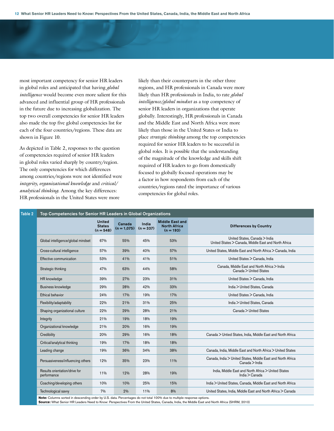most important competency for senior HR leaders in global roles and anticipated that having *global intelligence* would become even more salient for this advanced and influential group of HR professionals in the future due to increasing globalization. The top two overall competencies for senior HR leaders also made the top five global competencies list for each of the four countries/regions. These data are shown in Figure 10.

As depicted in Table 2, responses to the question of competencies required of senior HR leaders in global roles varied sharply by country/region. The only competencies for which differences among countries/regions were not identified were *integrity, organizational knowledge* and *critical/ analytical thinking*. Among the key differences: HR professionals in the United States were more

likely than their counterparts in the other three regions, and HR professionals in Canada were more likely than HR professionals in India, to rate *global intelligence/global mindset* as a top competency of senior HR leaders in organizations that operate globally. Interestingly, HR professionals in Canada and the Middle East and North Africa were more likely than those in the United States or India to place *strategic thinking* among the top competencies required for senior HR leaders to be successful in global roles. It is possible that the understanding of the magnitude of the knowledge and skills shift required of HR leaders to go from domestically focused to globally focused operations may be a factor in how respondents from each of the countries/regions rated the importance of various competencies for global roles.

| Top Competencies for Senior HR Leaders in Global Organizations |                                               |                         |                      |                                                              |                                                                                       |  |  |  |
|----------------------------------------------------------------|-----------------------------------------------|-------------------------|----------------------|--------------------------------------------------------------|---------------------------------------------------------------------------------------|--|--|--|
|                                                                | <b>United</b><br><b>States</b><br>$(n = 548)$ | Canada<br>$(n = 1.075)$ | India<br>$(n = 337)$ | <b>Middle East and</b><br><b>North Africa</b><br>$(n = 193)$ | <b>Differences by Country</b>                                                         |  |  |  |
| Global intelligence/global mindset                             | 67%                                           | 55%                     | 45%                  | 53%                                                          | United States, Canada > India<br>United States > Canada, Middle East and North Africa |  |  |  |
| Cross-cultural intelligence                                    | 57%                                           | 39%                     | 40%                  | 57%                                                          | United States, Middle East and North Africa > Canada, India                           |  |  |  |
| Effective communication                                        | 53%                                           | 41%                     | 41%                  | 51%                                                          | United States > Canada, India                                                         |  |  |  |
| Strategic thinking                                             | 47%                                           | 63%                     | 44%                  | 58%                                                          | Canada. Middle East and North Africa > India<br>Canada > United States                |  |  |  |
| HR knowledge                                                   | 39%                                           | 27%                     | 23%                  | 31%                                                          | United States > Canada, India                                                         |  |  |  |
| Business knowledge                                             | 29%                                           | 28%                     | 42%                  | 33%                                                          | India > United States, Canada                                                         |  |  |  |
| <b>Ethical behavior</b>                                        | 24%                                           | 17%                     | 19%                  | 17%                                                          | United States > Canada, India                                                         |  |  |  |
| Flexibility/adaptability                                       | 22%                                           | 21%                     | 31%                  | 25%                                                          | India > United States, Canada                                                         |  |  |  |
| Shaping organizational culture                                 | 22%                                           | 29%                     | 28%                  | 21%                                                          | Canada > United States                                                                |  |  |  |
| Integrity                                                      | 21%                                           | 19%                     | 18%                  | 19%                                                          |                                                                                       |  |  |  |
| Organizational knowledge                                       | 21%                                           | 20%                     | 16%                  | 19%                                                          |                                                                                       |  |  |  |
| Credibility                                                    | 20%                                           | 29%                     | 16%                  | 18%                                                          | Canada > Untied States, India, Middle East and North Africa                           |  |  |  |
| Critical/analytical thinking                                   | 19%                                           | 17%                     | 18%                  | 18%                                                          |                                                                                       |  |  |  |
| Leading change                                                 | 19%                                           | 36%                     | 34%                  | 38%                                                          | Canada, India, Middle East and North Africa > United States                           |  |  |  |
| Persuasiveness/influencing others                              | 12%                                           | 35%                     | 23%                  | 11%                                                          | Canada, India > United States, Middle East and North Africa<br>Canada > India         |  |  |  |
| Results orientation/drive for<br>performance                   | 11%                                           | 12%                     | 28%                  | 19%                                                          | India, Middle East and North Africa > United States<br>India > Canada                 |  |  |  |
| Coaching/developing others                                     | 10%                                           | 10%                     | 25%                  | 15%                                                          | India > United States, Canada, Middle East and North Africa                           |  |  |  |
| Technological savvy                                            | 7%                                            | 2%                      | 11%                  | 8%                                                           | United States, India, Middle East and North Africa > Canada                           |  |  |  |

**Note:** Columns sorted in descending order by U.S. data. Percentages do not total 100% due to multiple response options. **Source:** What Senior HR Leaders Need to Know: Perspectives From the United States, Canada, India, the Middle East and North Africa (SHRM, 2010)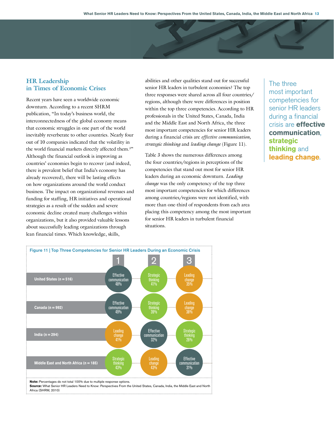### **HR Leadership in Times of Economic Crises**

Recent years have seen a worldwide economic downturn. According to a recent SHRM publication, "In today's business world, the interconnectedness of the global economy means that economic struggles in one part of the world inevitably reverberate to other countries. Nearly four out of 10 companies indicated that the volatility in the world financial markets directly affected them.3 " Although the financial outlook is improving as countries' economies begin to recover (and indeed, there is prevalent belief that India's economy has already recovered), there will be lasting effects on how organizations around the world conduct business. The impact on organizational revenues and funding for staffing, HR initiatives and operational strategies as a result of the sudden and severe economic decline created many challenges within organizations, but it also provided valuable lessons about successfully leading organizations through lean financial times. Which knowledge, skills,

abilities and other qualities stand out for successful senior HR leaders in turbulent economies? The top three responses were shared across all four countries/ regions, although there were differences in position within the top three competencies. According to HR professionals in the United States, Canada, India and the Middle East and North Africa, the three most important competencies for senior HR leaders during a financial crisis are *effective communication, strategic thinking* and *leading change* (Figure 11).

Table 3 shows the numerous differences among the four countries/regions in perceptions of the competencies that stand out most for senior HR leaders during an economic downturn. *Leading change* was the only competency of the top three most important competencies for which differences among countries/regions were not identified, with more than one-third of respondents from each area placing this competency among the most important for senior HR leaders in turbulent financial situations.

The three most important competencies for senior HR leaders during a financial crisis are **effective communication**, **strategic thinking** and **leading change**.

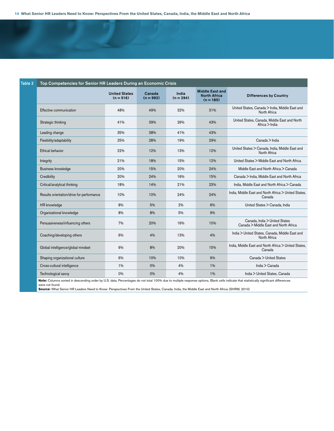| Table 3 | Top Competencies for Senior HR Leaders During an Economic Crisis |                                     |                       |                      |                                                              |                                                                        |  |
|---------|------------------------------------------------------------------|-------------------------------------|-----------------------|----------------------|--------------------------------------------------------------|------------------------------------------------------------------------|--|
|         |                                                                  | <b>United States</b><br>$(n = 516)$ | Canada<br>$(n = 992)$ | India<br>$(n = 294)$ | <b>Middle East and</b><br><b>North Africa</b><br>$(n = 185)$ | <b>Differences by Country</b>                                          |  |
|         | Effective communication                                          | 48%                                 | 49%                   | 32%                  | 31%                                                          | United States, Canada > India, Middle East and<br>North Africa         |  |
|         | Strategic thinking                                               | 41%                                 | 39%                   | 26%                  | 43%                                                          | United States, Canada, Middle East and North<br>Africa > India         |  |
|         | Leading change                                                   | 35%                                 | 38%                   | 41%                  | 43%                                                          |                                                                        |  |
|         | Flexibility/adaptability                                         | 25%                                 | 28%                   | 19%                  | 29%                                                          | Canada > India                                                         |  |
|         | <b>Ethical behavior</b>                                          | 22%                                 | 12%                   | 13%                  | 12%                                                          | United States > Canada, India, Middle East and<br>North Africa         |  |
|         | Integrity                                                        | 21%                                 | 18%                   | 15%                  | 12%                                                          | United States > Middle East and North Africa                           |  |
|         | Business knowledge                                               | 20%                                 | 15%                   | 20%                  | 24%                                                          | Middle East and North Africa > Canada                                  |  |
|         | Credibility                                                      | 20%                                 | 24%                   | 16%                  | 15%                                                          | Canada > India, Middle East and North Africa                           |  |
|         | Critical/analytical thinking                                     | 18%                                 | 14%                   | 21%                  | 23%                                                          | India, Middle East and North Africa > Canada                           |  |
|         | Results orientation/drive for performance                        | 10%                                 | 10%                   | 24%                  | 24%                                                          | India, Middle East and North Africa > United States,<br>Canada         |  |
|         | HR knowledge                                                     | 8%                                  | 5%                    | 2%                   | 6%                                                           | United States > Canada, India                                          |  |
|         | Organizational knowledge                                         | 8%                                  | 8%                    | 5%                   | 9%                                                           |                                                                        |  |
|         | Persuasiveness/influencing others                                | 7%                                  | 20%                   | 16%                  | 10%                                                          | Canada, India > United States<br>Canada > Middle East and North Africa |  |
|         | Coaching/developing others                                       | 6%                                  | 4%                    | 13%                  | 4%                                                           | India > United States, Canada, Middle East and<br>North Africa         |  |
|         | Global intelligence/global mindset                               | 6%                                  | 8%                    | 20%                  | 15%                                                          | India, Middle East and North Africa > United States,<br>Canada         |  |
|         | Shaping organizational culture                                   | 6%                                  | 10%                   | 10%                  | 9%                                                           | Canada > United States                                                 |  |
|         | Cross-cultural intelligence                                      | 1%                                  | 0%                    | 4%                   | 1%                                                           | India > Canada                                                         |  |
|         | Technological savvy                                              | 0%                                  | 0%                    | 4%                   | 1%                                                           | India > United States, Canada                                          |  |

**Note:** Columns sorted in descending order by U.S. data. Percentages do not total 100% due to multiple response options. Blank cells indicate that statistically significant differences were not found.<br>**Source:** What Senior HR Leaders Need to Know: Perspectives From the United States, Canada, India, the Middle East and North Africa (SHRM, 2010)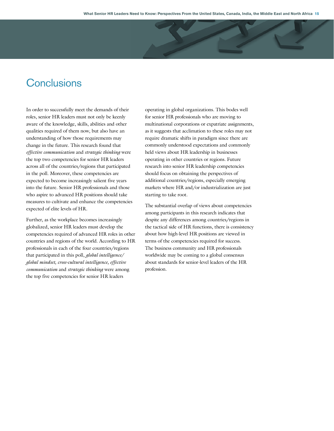# **Conclusions**

In order to successfully meet the demands of their roles, senior HR leaders must not only be keenly aware of the knowledge, skills, abilities and other qualities required of them now, but also have an understanding of how those requirements may change in the future. This research found that *effective communication* and *strategic thinking* were the top two competencies for senior HR leaders across all of the countries/regions that participated in the poll. Moreover, these competencies are expected to become increasingly salient five years into the future. Senior HR professionals and those who aspire to advanced HR positions should take measures to cultivate and enhance the competencies expected of elite levels of HR.

Further, as the workplace becomes increasingly globalized, senior HR leaders must develop the competencies required of advanced HR roles in other countries and regions of the world. According to HR professionals in each of the four countries/regions that participated in this poll, *global intelligence/ global mindset, cross-cultural intelligence, effective communication* and *strategic thinking* were among the top five competencies for senior HR leaders

operating in global organizations. This bodes well for senior HR professionals who are moving to multinational corporations or expatriate assignments, as it suggests that acclimation to these roles may not require dramatic shifts in paradigm since there are commonly understood expectations and commonly held views about HR leadership in businesses operating in other countries or regions. Future research into senior HR leadership competencies should focus on obtaining the perspectives of additional countries/regions, especially emerging markets where HR and/or industrialization are just starting to take root.

The substantial overlap of views about competencies among participants in this research indicates that despite any differences among countries/regions in the tactical side of HR functions, there is consistency about how high-level HR positions are viewed in terms of the competencies required for success. The business community and HR professionals worldwide may be coming to a global consensus about standards for senior-level leaders of the HR profession.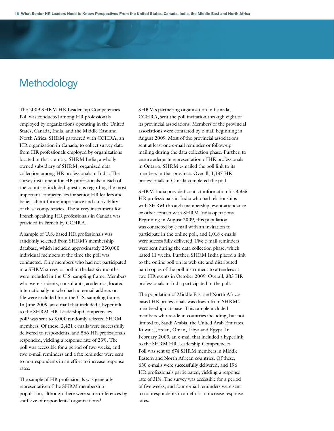# **Methodology**

The 2009 SHRM HR Leadership Competencies Poll was conducted among HR professionals employed by organizations operating in the United States, Canada, India, and the Middle East and North Africa. SHRM partnered with CCHRA, an HR organization in Canada, to collect survey data from HR professionals employed by organizations located in that country. SHRM India, a wholly owned subsidiary of SHRM, organized data collection among HR professionals in India. The survey instrument for HR professionals in each of the countries included questions regarding the most important competencies for senior HR leaders and beliefs about future importance and cultivability of these competencies. The survey instrument for French-speaking HR professionals in Canada was provided in French by CCHRA.

A sample of U.S.-based HR professionals was randomly selected from SHRM's membership database, which included approximately 250,000 individual members at the time the poll was conducted. Only members who had not participated in a SHRM survey or poll in the last six months were included in the U.S. sampling frame. Members who were students, consultants, academics, located internationally or who had no e-mail address on file were excluded from the U.S. sampling frame. In June 2009, an e-mail that included a hyperlink to the SHRM HR Leadership Competencies poll4 was sent to 3,000 randomly selected SHRM members. Of these, 2,421 e-mails were successfully delivered to respondents, and 566 HR professionals responded, yielding a response rate of 23%. The poll was accessible for a period of two weeks, and two e-mail reminders and a fax reminder were sent to nonrespondents in an effort to increase response rates.

The sample of HR professionals was generally representative of the SHRM membership population, although there were some differences by staff size of respondents' organizations.5

SHRM's partnering organization in Canada, CCHRA, sent the poll invitation through eight of its provincial associations. Members of the provincial associations were contacted by e-mail beginning in August 2009. Most of the provincial associations sent at least one e-mail reminder or follow-up mailing during the data collection phase. Further, to ensure adequate representation of HR professionals in Ontario, SHRM e-mailed the poll link to its members in that province. Overall, 1,137 HR professionals in Canada completed the poll.

SHRM India provided contact information for 3,355 HR professionals in India who had relationships with SHRM through membership, event attendance or other contact with SHRM India operations. Beginning in August 2009, this population was contacted by e-mail with an invitation to participate in the online poll, and 1,018 e-mails were successfully delivered. Five e-mail reminders were sent during the data collection phase, which lasted 11 weeks. Further, SHRM India placed a link to the online poll on its web site and distributed hard copies of the poll instrument to attendees at two HR events in October 2009. Overall, 383 HR professionals in India participated in the poll.

The population of Middle East and North Africabased HR professionals was drawn from SHRM's membership database. This sample included members who reside in countries including, but not limited to, Saudi Arabia, the United Arab Emirates, Kuwait, Jordan, Oman, Libya and Egypt. In February 2009, an e-mail that included a hyperlink to the SHRM HR Leadership Competencies Poll was sent to 674 SHRM members in Middle Eastern and North African countries. Of these, 630 e-mails were successfully delivered, and 196 HR professionals participated, yielding a response rate of 31%. The survey was accessible for a period of five weeks, and four e-mail reminders were sent to nonrespondents in an effort to increase response rates.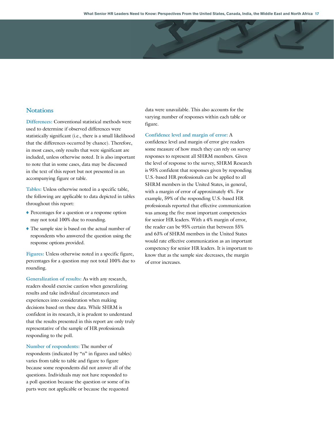#### **Notations**

**Differences:** Conventional statistical methods were used to determine if observed differences were statistically significant (i.e., there is a small likelihood that the differences occurred by chance). Therefore, in most cases, only results that were significant are included, unless otherwise noted. It is also important to note that in some cases, data may be discussed in the text of this report but not presented in an accompanying figure or table.

**Tables:** Unless otherwise noted in a specific table, the following are applicable to data depicted in tables throughout this report:

- x Percentages for a question or a response option may not total 100% due to rounding.
- The sample size is based on the actual number of respondents who answered the question using the response options provided.

**Figures:** Unless otherwise noted in a specific figure, percentages for a question may not total 100% due to rounding.

**Generalization of results:** As with any research, readers should exercise caution when generalizing results and take individual circumstances and experiences into consideration when making decisions based on these data. While SHRM is confident in its research, it is prudent to understand that the results presented in this report are only truly representative of the sample of HR professionals responding to the poll.

**Number of respondents:** The number of respondents (indicated by "n" in figures and tables) varies from table to table and figure to figure because some respondents did not answer all of the questions. Individuals may not have responded to a poll question because the question or some of its parts were not applicable or because the requested

data were unavailable. This also accounts for the varying number of responses within each table or figure.

#### **Confidence level and margin of error:** A

confidence level and margin of error give readers some measure of how much they can rely on survey responses to represent all SHRM members. Given the level of response to the survey, SHRM Research is 95% confident that responses given by responding U.S.-based HR professionals can be applied to all SHRM members in the United States, in general, with a margin of error of approximately 4%. For example, 59% of the responding U.S.-based HR professionals reported that effective communication was among the five most important competencies for senior HR leaders. With a 4% margin of error, the reader can be 95% certain that between 55% and 63% of SHRM members in the United States would rate effective communication as an important competency for senior HR leaders. It is important to know that as the sample size decreases, the margin of error increases.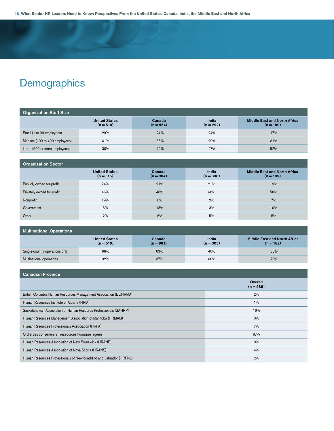# **Demographics**

| <b>Organization Staff Size</b> |                                     |                       |                      |                                                    |  |
|--------------------------------|-------------------------------------|-----------------------|----------------------|----------------------------------------------------|--|
|                                | <b>United States</b><br>$(n = 510)$ | Canada<br>$(n = 954)$ | India<br>$(n = 292)$ | <b>Middle East and North Africa</b><br>$(n = 180)$ |  |
| Small (1 to 99 employees)      | 29%                                 | 24%                   | 24%                  | 17%                                                |  |
| Medium (100 to 499 employees)  | 41%                                 | 36%                   | 29%                  | 31%                                                |  |
| Large (500 or more employees)  | 30%                                 | 40%                   | 47%                  | 52%                                                |  |

| <b>Organization Sector</b> |                                     |                       |                      |                                                    |  |
|----------------------------|-------------------------------------|-----------------------|----------------------|----------------------------------------------------|--|
|                            | <b>United States</b><br>$(n = 515)$ | Canada<br>$(n = 984)$ | India<br>$(n = 308)$ | <b>Middle East and North Africa</b><br>$(n = 185)$ |  |
| Publicly owned for-profit  | 24%                                 | 21%                   | 21%                  | 19%                                                |  |
| Privately owned for-profit | 46%                                 | 48%                   | 68%                  | 58%                                                |  |
| Nonprofit                  | 19%                                 | 8%                    | 2%                   | 7%                                                 |  |
| Government                 | 8%                                  | 18%                   | 3%                   | 10%                                                |  |
| Other                      | 2%                                  | 6%                    | 5%                   | 5%                                                 |  |

| <b>Multinational Operations</b> |                                     |                       |                      |                                                    |  |
|---------------------------------|-------------------------------------|-----------------------|----------------------|----------------------------------------------------|--|
|                                 | <b>United States</b><br>$(n = 510)$ | Canada<br>$(n = 981)$ | India<br>$(n = 303)$ | <b>Middle East and North Africa</b><br>$(n = 182)$ |  |
| Single-country operations only  | 68%                                 | 63%                   | 40%                  | 30%                                                |  |
| Multinational operations        | 32%                                 | 37%                   | 60%                  | 70%                                                |  |

| <b>Canadian Province</b>                                           |                        |
|--------------------------------------------------------------------|------------------------|
|                                                                    | Overall<br>$(n = 989)$ |
| British Columbia Human Resources Management Association (BCHRMA)   | 2%                     |
| Human Resources Institute of Alberta (HRIA)                        | $1\%$                  |
| Saskatchewan Association of Human Resource Professionals (SAHRP)   | 16%                    |
| Human Resources Management Association of Manitoba (HRMAM)         | 0%                     |
| Human Resources Professionals Association (HRPA)                   | 7%                     |
| Ordre des conseillers en ressources humaines agréés                | 67%                    |
| Human Resources Association of New Brunswick (HRANB)               | 0%                     |
| Human Resources Association of Nova Scotia (HRANS)                 | 4%                     |
| Human Resources Professionals of Newfoundland and Labrador (HRPNL) | 2%                     |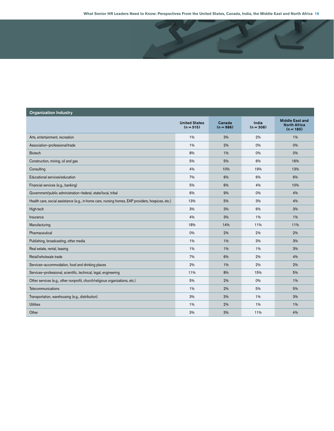**What Senior HR Leaders Need to Know: Perspectives From the United States, Canada, India, the Middle East and North Africa 19**

| <b>Organization Industry</b>                                                                      |                                     |                       |                      |                                                              |
|---------------------------------------------------------------------------------------------------|-------------------------------------|-----------------------|----------------------|--------------------------------------------------------------|
|                                                                                                   | <b>United States</b><br>$(n = 515)$ | Canada<br>$(n = 986)$ | India<br>$(n = 308)$ | <b>Middle East and</b><br><b>North Africa</b><br>$(n = 185)$ |
| Arts, entertainment, recreation                                                                   | 1%                                  | 3%                    | 2%                   | $1\%$                                                        |
| Association-professional/trade                                                                    | 1%                                  | 2%                    | 0%                   | 0%                                                           |
| <b>Biotech</b>                                                                                    | 8%                                  | 1%                    | 0%                   | 0%                                                           |
| Construction, mining, oil and gas                                                                 | 5%                                  | 5%                    | 6%                   | 16%                                                          |
| Consulting                                                                                        | 4%                                  | 10%                   | 19%                  | 13%                                                          |
| Educational services/education                                                                    | 7%                                  | 6%                    | 6%                   | 6%                                                           |
| Financial services (e.g., banking)                                                                | 5%                                  | 6%                    | 4%                   | 10%                                                          |
| Government/public administration-federal, state/local, tribal                                     | 6%                                  | 9%                    | 0%                   | 4%                                                           |
| Health care, social assistance (e.g., in-home care, nursing homes, EAP providers, hospices, etc.) | 13%                                 | 5%                    | 3%                   | 4%                                                           |
| High-tech                                                                                         | 3%                                  | 3%                    | 6%                   | 3%                                                           |
| Insurance                                                                                         | 4%                                  | 3%                    | 1%                   | 1%                                                           |
| Manufacturing                                                                                     | 18%                                 | 14%                   | 11%                  | 11%                                                          |
| Pharmaceutical                                                                                    | 0%                                  | 2%                    | 2%                   | 2%                                                           |
| Publishing, broadcasting, other media                                                             | $1\%$                               | 1%                    | 3%                   | 3%                                                           |
| Real estate, rental, leasing                                                                      | 1%                                  | 1%                    | 1%                   | 3%                                                           |
| Retail/wholesale trade                                                                            | 7%                                  | 6%                    | 2%                   | 4%                                                           |
| Services-accommodation, food and drinking places                                                  | 2%                                  | 1%                    | 2%                   | 2%                                                           |
| Services-professional, scientific, technical, legal, engineering                                  | 11%                                 | 8%                    | 15%                  | 5%                                                           |
| Other services (e.g., other nonprofit, church/religious organizations, etc.)                      | 5%                                  | 2%                    | 0%                   | $1\%$                                                        |
| Telecommunications                                                                                | 1%                                  | 2%                    | 5%                   | 5%                                                           |
| Transportation, warehousing (e.g., distribution)                                                  | 3%                                  | 3%                    | 1%                   | 3%                                                           |
| <b>Utilities</b>                                                                                  | 1%                                  | 2%                    | 1%                   | $1\%$                                                        |
| Other                                                                                             | 3%                                  | 3%                    | 11%                  | 4%                                                           |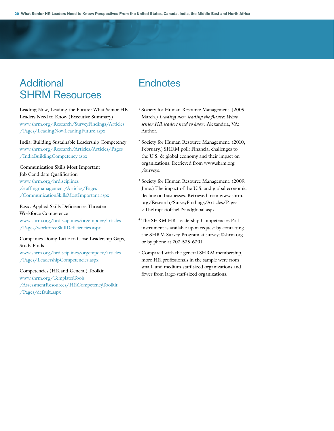# **Additional** SHRM Resources

Leading Now, Leading the Future: What Senior HR Leaders Need to Know (Executive Summary) www.shrm.org/Research/SurveyFindings/Articles /Pages/LeadingNowLeadingFuture.aspx

India: Building Sustainable Leadership Competency www.shrm.org/Research/Articles/Articles/Pages /IndiaBuildingCompetency.aspx

Communication Skills Most Important Job Candidate Qualification www.shrm.org/hrdisciplines /staffingmanagement/Articles/Pages /CommunicationSkillsMostImportant.aspx

### Basic, Applied Skills Deficiencies Threaten Workforce Competence www.shrm.org/hrdisciplines/orgempdev/articles /Pages/workforceSkillDeficiencies.aspx

#### Companies Doing Little to Close Leadership Gaps, Study Finds

www.shrm.org/hrdisciplines/orgempdev/articles /Pages/LeadershipCompetencies.aspx

#### Competencies (HR and General) Toolkit

www.shrm.org/TemplatesTools /AssessmentResources/HRCompetencyToolkit /Pages/default.aspx

# **Endnotes**

- <sup>1</sup> Society for Human Resource Management. (2009, March.) *Leading now, leading the future: What senior HR leaders need to know*. Alexandria, VA: Author.
- <sup>2</sup> Society for Human Resource Management. (2010, February.) SHRM poll: Financial challenges to the U.S. & global economy and their impact on organizations. Retrieved from www.shrm.org /surveys.
- <sup>3</sup> Society for Human Resource Management. (2009, June.) The impact of the U.S. and global economic decline on businesses. Retrieved from www.shrm. org/Research/SurveyFindings/Articles/Pages /TheImpactoftheUSandglobal.aspx.
- <sup>4</sup> The SHRM HR Leadership Competencies Poll instrument is available upon request by contacting the SHRM Survey Program at surveys@shrm.org or by phone at 703-535-6301.
- <sup>5</sup> Compared with the general SHRM membership, more HR professionals in the sample were from small- and medium-staff-sized organizations and fewer from large-staff-sized organizations.